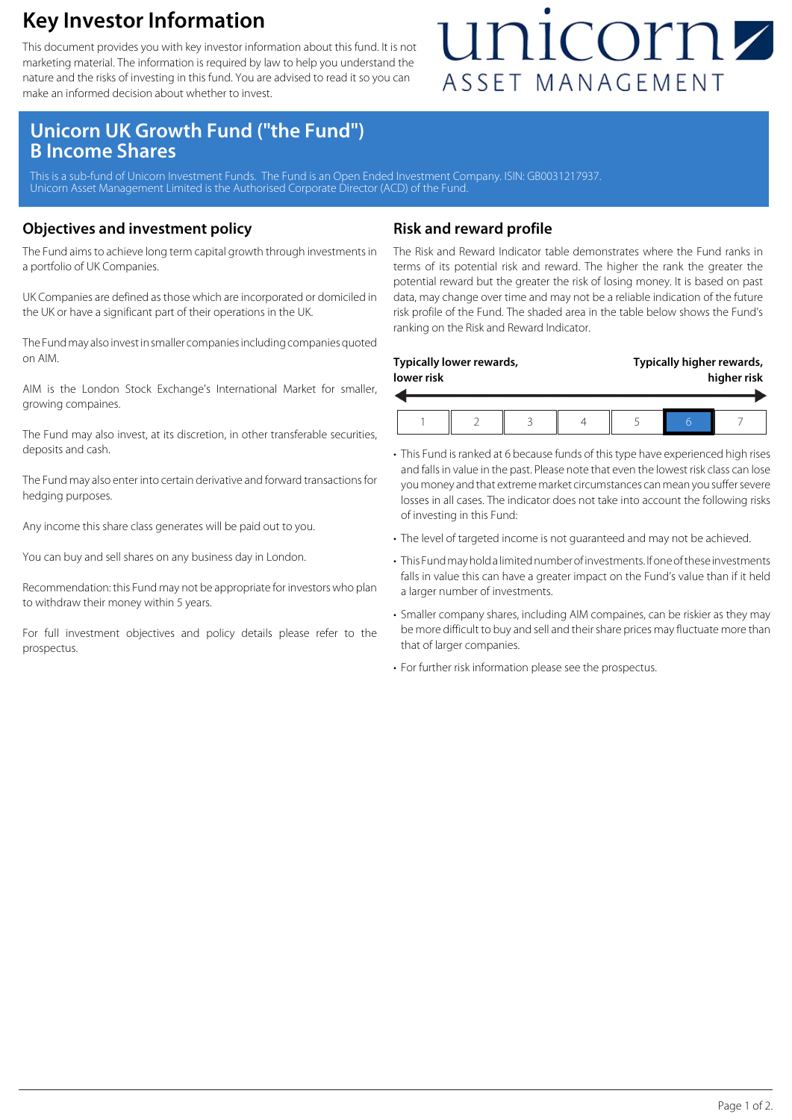### **Key Investor Information**

This document provides you with key investor information about this fund. It is not marketing material. The information is required by law to help you understand the nature and the risks of investing in this fund. You are advised to read it so you can make an informed decision about whether to invest.

## unicornz ASSET MANAGEMENT

### **Unicorn UK Growth Fund ("the Fund") B Income Shares**

This is a sub-fund of Unicorn Investment Funds. The Fund is an Open Ended Investment Company. ISIN: GB0031217937. Unicorn Asset Management Limited is the Authorised Corporate Director (ACD) of the Fund.

#### **Objectives and investment policy**

The Fund aims to achieve long term capital growth through investments in a portfolio of UK Companies.

UK Companies are defined as those which are incorporated or domiciled in the UK or have a significant part of their operations in the UK.

The Fund may also invest in smaller companies including companies quoted on AIM.

AIM is the London Stock Exchange's International Market for smaller, growing compaines.

The Fund may also invest, at its discretion, in other transferable securities, deposits and cash.

The Fund may also enter into certain derivative and forward transactions for hedging purposes.

Any income this share class generates will be paid out to you.

You can buy and sell shares on any business day in London.

Recommendation: this Fund may not be appropriate for investors who plan to withdraw their money within 5 years.

For full investment objectives and policy details please refer to the prospectus.

#### **Risk and reward profile**

The Risk and Reward Indicator table demonstrates where the Fund ranks in terms of its potential risk and reward. The higher the rank the greater the potential reward but the greater the risk of losing money. It is based on past data, may change over time and may not be a reliable indication of the future risk profile of the Fund. The shaded area in the table below shows the Fund's ranking on the Risk and Reward Indicator.

| lower risk | Typically lower rewards, |  | Typically higher rewards,<br>higher risk |  |  |
|------------|--------------------------|--|------------------------------------------|--|--|
|            |                          |  |                                          |  |  |

- This Fund is ranked at 6 because funds of this type have experienced high rises and falls in value in the past. Please note that even the lowest risk class can lose you money and that extreme market circumstances can mean you suffer severe losses in all cases. The indicator does not take into account the following risks of investing in this Fund:
- The level of targeted income is not guaranteed and may not be achieved.
- This Fund may hold a limited number of investments. If one of these investments falls in value this can have a greater impact on the Fund's value than if it held a larger number of investments.
- Smaller company shares, including AIM compaines, can be riskier as they may be more difficult to buy and sell and their share prices may fluctuate more than that of larger companies.
- For further risk information please see the prospectus.